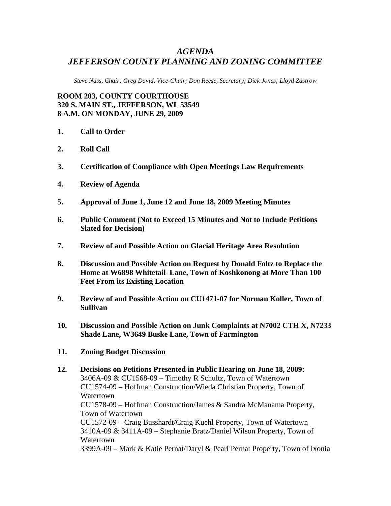## *AGENDA JEFFERSON COUNTY PLANNING AND ZONING COMMITTEE*

*Steve Nass, Chair; Greg David, Vice-Chair; Don Reese, Secretary; Dick Jones; Lloyd Zastrow* 

**ROOM 203, COUNTY COURTHOUSE 320 S. MAIN ST., JEFFERSON, WI 53549 8 A.M. ON MONDAY, JUNE 29, 2009** 

- **1. Call to Order**
- **2. Roll Call**
- **3. Certification of Compliance with Open Meetings Law Requirements**
- **4. Review of Agenda**
- **5. Approval of June 1, June 12 and June 18, 2009 Meeting Minutes**
- **6. Public Comment (Not to Exceed 15 Minutes and Not to Include Petitions Slated for Decision)**
- **7. Review of and Possible Action on Glacial Heritage Area Resolution**
- **8. Discussion and Possible Action on Request by Donald Foltz to Replace the Home at W6898 Whitetail Lane, Town of Koshkonong at More Than 100 Feet From its Existing Location**
- **9. Review of and Possible Action on CU1471-07 for Norman Koller, Town of Sullivan**
- **10. Discussion and Possible Action on Junk Complaints at N7002 CTH X, N7233 Shade Lane, W3649 Buske Lane, Town of Farmington**
- **11. Zoning Budget Discussion**
- **12. Decisions on Petitions Presented in Public Hearing on June 18, 2009:**  3406A-09 & CU1568-09 – Timothy R Schultz, Town of Watertown CU1574-09 – Hoffman Construction/Wieda Christian Property, Town of Watertown CU1578-09 – Hoffman Construction/James & Sandra McManama Property, Town of Watertown CU1572-09 – Craig Busshardt/Craig Kuehl Property, Town of Watertown 3410A-09 & 3411A-09 – Stephanie Bratz/Daniel Wilson Property, Town of Watertown 3399A-09 – Mark & Katie Pernat/Daryl & Pearl Pernat Property, Town of Ixonia